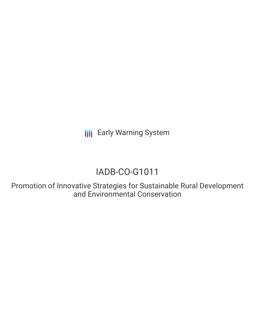**III** Early Warning System

# IADB-CO-G1011

Promotion of Innovative Strategies for Sustainable Rural Development and Environmental Conservation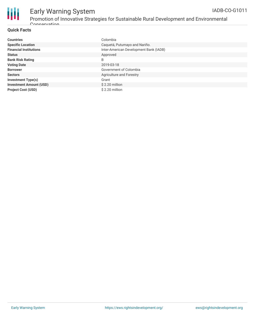

#### Early Warning System Promotion of Innovative Strategies for Sustainable Rural Development and Environmental IADB-CO-G1011

#### **Quick Facts**

Conservation

| <b>Countries</b>               | Colombia                               |
|--------------------------------|----------------------------------------|
| <b>Specific Location</b>       | Caquetá, Putumayo and Nariño.          |
| <b>Financial Institutions</b>  | Inter-American Development Bank (IADB) |
| <b>Status</b>                  | Approved                               |
| <b>Bank Risk Rating</b>        | B                                      |
| <b>Voting Date</b>             | 2019-03-18                             |
| <b>Borrower</b>                | Government of Colombia                 |
| <b>Sectors</b>                 | Agriculture and Forestry               |
| <b>Investment Type(s)</b>      | Grant                                  |
| <b>Investment Amount (USD)</b> | $$2.20$ million                        |
| <b>Project Cost (USD)</b>      | \$2.20 million                         |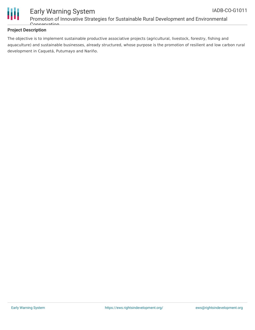

#### Early Warning System Promotion of Innovative Strategies for Sustainable Rural Development and Environmental Conservation

#### **Project Description**

The objective is to implement sustainable productive associative projects (agricultural, livestock, forestry, fishing and aquaculture) and sustainable businesses, already structured, whose purpose is the promotion of resilient and low carbon rural development in Caquetá, Putumayo and Nariño.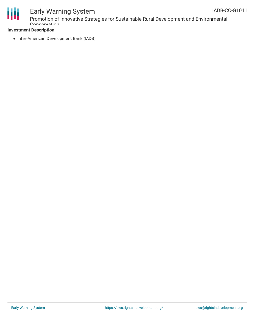

## Early Warning System

Promotion of Innovative Strategies for Sustainable Rural Development and Environmental **Concervation** 

#### **Investment Description**

• Inter-American Development Bank (IADB)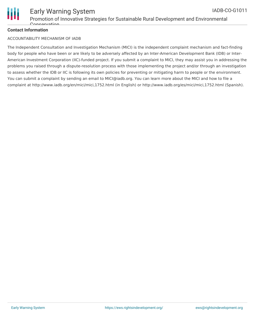

#### **Contact Information**

#### ACCOUNTABILITY MECHANISM OF IADB

The Independent Consultation and Investigation Mechanism (MICI) is the independent complaint mechanism and fact-finding body for people who have been or are likely to be adversely affected by an Inter-American Development Bank (IDB) or Inter-American Investment Corporation (IIC)-funded project. If you submit a complaint to MICI, they may assist you in addressing the problems you raised through a dispute-resolution process with those implementing the project and/or through an investigation to assess whether the IDB or IIC is following its own policies for preventing or mitigating harm to people or the environment. You can submit a complaint by sending an email to MICI@iadb.org. You can learn more about the MICI and how to file a complaint at http://www.iadb.org/en/mici/mici,1752.html (in English) or http://www.iadb.org/es/mici/mici,1752.html (Spanish).